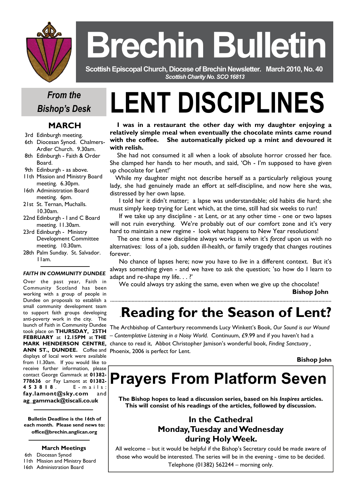

# **Brechin Bulletin**

 **Scottish Episcopal Church, Diocese of Brechin Newsletter***.* **March 2010, No. 40**  *Scottish Charity No. SCO 16813* 

# *From the Bishop's Desk*

### **MARCH**

- 3rd Edinburgh meeting.
- 6th Diocesan Synod. Chalmers- Ardler Church. 9.30am.
- 8th Edinburgh Faith & Order Board.
- 9th Edinburgh as above.
- 11th Mission and Ministry Board meeting. 6.30pm.
- 16th Administration Board meeting. 6pm.
- 21st St. Ternan, Muchalls. 10.30am.
- 22nd Edinburgh I and C Board meeting. 11.30am.
- 23rd Edinburgh Ministry Development Committee meeting. 10.30am.
- 28th Palm Sunday. St. Salvador. 11am.

#### *FAITH IN COMMUNITY DUNDEE*

Over the past year, Faith in Community Scotland has been working with a group of people in Dundee on proposals to establish a small community development team to support faith groups developing anti-poverty work in the city. The launch of Faith in Community Dundee took place on **THURSDAY, 25TH FEBRUARY** at **12.15PM** at **THE MARK HENDERSON CENTRE, ANN ST., DUNDEE.** Coffee and displays of local work were available from 11.30am. If you would like to receive further information, please contact George Gammack at **01382- 778636** or Fay Lamont at **01382- 453818** . E - m a i l s : **fay.lamont@sky.com** and **ag\_gammack@tiscali.co.uk**

**Bulletin Deadline is the 16th of each month. Please send news to: office@brechin.anglican.org** 

#### **March Meetings**

#### 6th Diocesan Synod

- 11th Mission and Ministry Board
- 16th Administration Board

# **LENT DISCIPLINES**

 **I was in a restaurant the other day with my daughter enjoying a relatively simple meal when eventually the chocolate mints came round with the coffee. She automatically picked up a mint and devoured it with relish.**

 She had not consumed it all when a look of absolute horror crossed her face. She clamped her hands to her mouth, and said, 'Oh - I'm supposed to have given up chocolate for Lent!'

 While my daughter might not describe herself as a particularly religious young lady, she had genuinely made an effort at self-discipline, and now here she was, distressed by her own lapse.

 I told her it didn't matter; a lapse was understandable; old habits die hard; she must simply keep trying for Lent which, at the time, still had six weeks to run!

 If we take up any discipline - at Lent, or at any other time - one or two lapses will not ruin everything. We're probably out of our comfort zone and it's very hard to maintain a new regime - look what happens to New Year resolutions!

 The one time a new discipline always works is when it's *forced* upon us with no alternatives: loss of a job, sudden ill-health, or family tragedy that changes routines forever.

 No chance of lapses here; now you have to *live* in a different context. But it's always something given - and we have to ask the question; 'so how do I learn to adapt and re-shape my life. . . ?'

We could always try asking the same, even when we give up the chocolate!

..........................................................................................................................................................

**Bishop John** 

# .**Reading for the Season of Lent?** The Archbishop of Canterbury recommends Lucy Winkett's Book, *Our Sound is our Wound*

*– Contemplative Listening in a Noisy World.* Continuum, £9.99 and if you haven't had a chance to read it, Abbot Christopher Jamison's wonderful book, *Finding Sanctuary ,*  Phoenix, 2006 is perfect for Lent.

**Bishop John** 

# **Prayers From Platform Seven**

**The Bishop hopes to lead a discussion series, based on his** *Inspires* **articles. This will consist of his readings of the articles, followed by discussion.** 

### **In the Cathedral Monday, Tuesday and Wednesday during Holy Week.**

All welcome – but it would be helpful if the Bishop's Secretary could be made aware of those who would be interested. The series will be in the evening - time to be decided. Telephone (01382) 562244 – morning only.